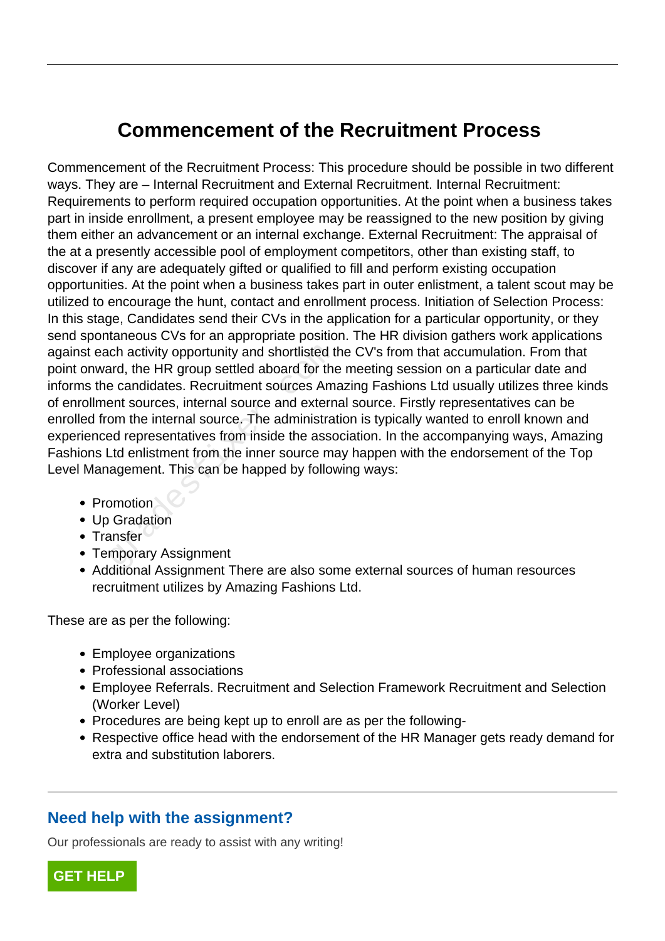## **Commencement of the Recruitment Process**

Commencement of the Recruitment Process: This procedure should be possible in two different ways. They are – Internal Recruitment and External Recruitment. Internal Recruitment: Requirements to perform required occupation opportunities. At the point when a business takes part in inside enrollment, a present employee may be reassigned to the new position by giving them either an advancement or an internal exchange. External Recruitment: The appraisal of the at a presently accessible pool of employment competitors, other than existing staff, to discover if any are adequately gifted or qualified to fill and perform existing occupation opportunities. At the point when a business takes part in outer enlistment, a talent scout may be utilized to encourage the hunt, contact and enrollment process. Initiation of Selection Process: In this stage, Candidates send their CVs in the application for a particular opportunity, or they send spontaneous CVs for an appropriate position. The HR division gathers work applications against each activity opportunity and shortlisted the CV's from that accumulation. From that point onward, the HR group settled aboard for the meeting session on a particular date and informs the candidates. Recruitment sources Amazing Fashions Ltd usually utilizes three kinds of enrollment sources, internal source and external source. Firstly representatives can be enrolled from the internal source. The administration is typically wanted to enroll known and experienced representatives from inside the association. In the accompanying ways, Amazing Fashions Ltd enlistment from the inner source may happen with the endorsement of the Top Level Management. This can be happed by following ways: ch activity opportunity and shortlisted t<br>ard, the HR group settled aboard for the<br>e candidates. Recruitment sources Am<br>ent sources, internal source and extern<br>om the internal source. The administrated<br>representatives from

- Promotion
- Up Gradation
- Transfer
- Temporary Assignment
- Additional Assignment There are also some external sources of human resources recruitment utilizes by Amazing Fashions Ltd.

These are as per the following:

- Employee organizations
- Professional associations
- Employee Referrals. Recruitment and Selection Framework Recruitment and Selection (Worker Level)
- Procedures are being kept up to enroll are as per the following-
- Respective office head with the endorsement of the HR Manager gets ready demand for extra and substitution laborers.

## **Need help with the assignment?**

Our professionals are ready to assist with any writing!